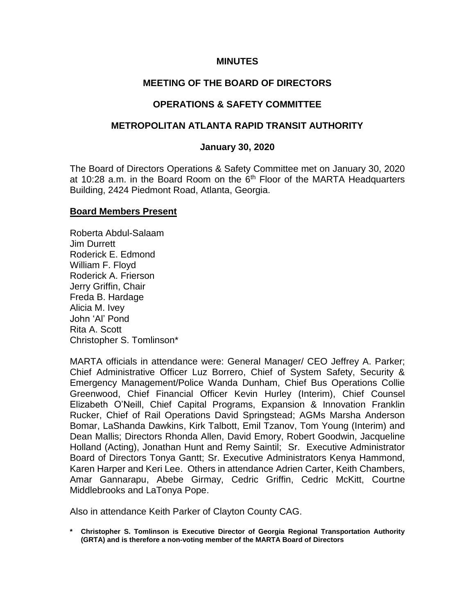#### **MINUTES**

# **MEETING OF THE BOARD OF DIRECTORS**

# **OPERATIONS & SAFETY COMMITTEE**

#### **METROPOLITAN ATLANTA RAPID TRANSIT AUTHORITY**

#### **January 30, 2020**

The Board of Directors Operations & Safety Committee met on January 30, 2020 at 10:28 a.m. in the Board Room on the  $6<sup>th</sup>$  Floor of the MARTA Headquarters Building, 2424 Piedmont Road, Atlanta, Georgia.

#### **Board Members Present**

Roberta Abdul-Salaam Jim Durrett Roderick E. Edmond William F. Floyd Roderick A. Frierson Jerry Griffin, Chair Freda B. Hardage Alicia M. Ivey John 'Al' Pond Rita A. Scott Christopher S. Tomlinson\*

MARTA officials in attendance were: General Manager/ CEO Jeffrey A. Parker; Chief Administrative Officer Luz Borrero, Chief of System Safety, Security & Emergency Management/Police Wanda Dunham, Chief Bus Operations Collie Greenwood, Chief Financial Officer Kevin Hurley (Interim), Chief Counsel Elizabeth O'Neill, Chief Capital Programs, Expansion & Innovation Franklin Rucker, Chief of Rail Operations David Springstead; AGMs Marsha Anderson Bomar, LaShanda Dawkins, Kirk Talbott, Emil Tzanov, Tom Young (Interim) and Dean Mallis; Directors Rhonda Allen, David Emory, Robert Goodwin, Jacqueline Holland (Acting), Jonathan Hunt and Remy Saintil; Sr. Executive Administrator Board of Directors Tonya Gantt; Sr. Executive Administrators Kenya Hammond, Karen Harper and Keri Lee. Others in attendance Adrien Carter, Keith Chambers, Amar Gannarapu, Abebe Girmay, Cedric Griffin, Cedric McKitt, Courtne Middlebrooks and LaTonya Pope.

Also in attendance Keith Parker of Clayton County CAG.

**\* Christopher S. Tomlinson is Executive Director of Georgia Regional Transportation Authority (GRTA) and is therefore a non-voting member of the MARTA Board of Directors**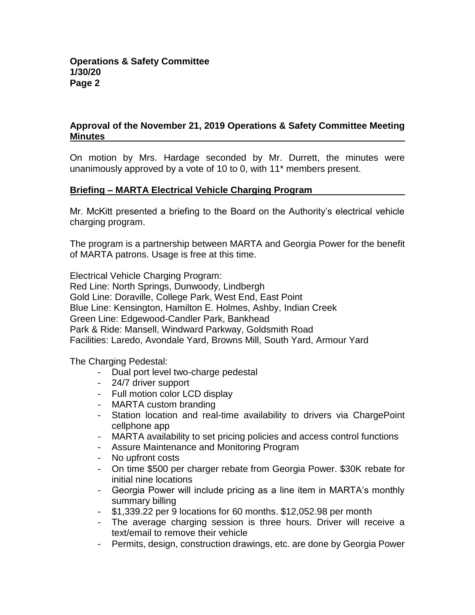# **Approval of the November 21, 2019 Operations & Safety Committee Meeting Minutes**

On motion by Mrs. Hardage seconded by Mr. Durrett, the minutes were unanimously approved by a vote of 10 to 0, with 11\* members present.

# **Briefing – MARTA Electrical Vehicle Charging Program**

Mr. McKitt presented a briefing to the Board on the Authority's electrical vehicle charging program.

The program is a partnership between MARTA and Georgia Power for the benefit of MARTA patrons. Usage is free at this time.

Electrical Vehicle Charging Program:

Red Line: North Springs, Dunwoody, Lindbergh Gold Line: Doraville, College Park, West End, East Point Blue Line: Kensington, Hamilton E. Holmes, Ashby, Indian Creek Green Line: Edgewood-Candler Park, Bankhead Park & Ride: Mansell, Windward Parkway, Goldsmith Road Facilities: Laredo, Avondale Yard, Browns Mill, South Yard, Armour Yard

The Charging Pedestal:

- Dual port level two-charge pedestal
- 24/7 driver support
- Full motion color LCD display
- MARTA custom branding
- Station location and real-time availability to drivers via ChargePoint cellphone app
- MARTA availability to set pricing policies and access control functions
- Assure Maintenance and Monitoring Program
- No upfront costs
- On time \$500 per charger rebate from Georgia Power. \$30K rebate for initial nine locations
- Georgia Power will include pricing as a line item in MARTA's monthly summary billing
- \$1,339.22 per 9 locations for 60 months. \$12,052.98 per month
- The average charging session is three hours. Driver will receive a text/email to remove their vehicle
- Permits, design, construction drawings, etc. are done by Georgia Power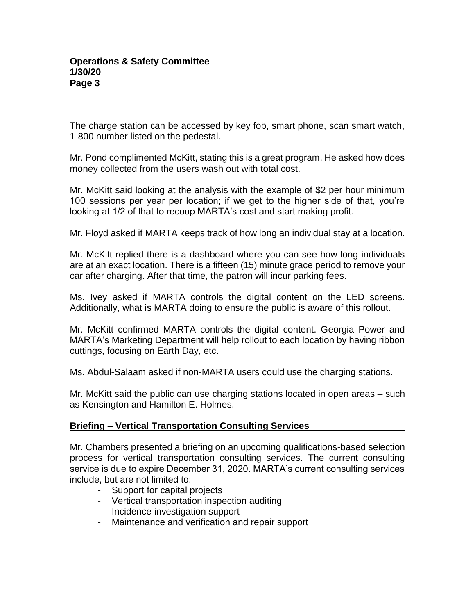The charge station can be accessed by key fob, smart phone, scan smart watch, 1-800 number listed on the pedestal.

Mr. Pond complimented McKitt, stating this is a great program. He asked how does money collected from the users wash out with total cost.

Mr. McKitt said looking at the analysis with the example of \$2 per hour minimum 100 sessions per year per location; if we get to the higher side of that, you're looking at 1/2 of that to recoup MARTA's cost and start making profit.

Mr. Floyd asked if MARTA keeps track of how long an individual stay at a location.

Mr. McKitt replied there is a dashboard where you can see how long individuals are at an exact location. There is a fifteen (15) minute grace period to remove your car after charging. After that time, the patron will incur parking fees.

Ms. Ivey asked if MARTA controls the digital content on the LED screens. Additionally, what is MARTA doing to ensure the public is aware of this rollout.

Mr. McKitt confirmed MARTA controls the digital content. Georgia Power and MARTA's Marketing Department will help rollout to each location by having ribbon cuttings, focusing on Earth Day, etc.

Ms. Abdul-Salaam asked if non-MARTA users could use the charging stations.

Mr. McKitt said the public can use charging stations located in open areas – such as Kensington and Hamilton E. Holmes.

# **Briefing – Vertical Transportation Consulting Services**

Mr. Chambers presented a briefing on an upcoming qualifications-based selection process for vertical transportation consulting services. The current consulting service is due to expire December 31, 2020. MARTA's current consulting services include, but are not limited to:

- Support for capital projects
- Vertical transportation inspection auditing
- Incidence investigation support
- Maintenance and verification and repair support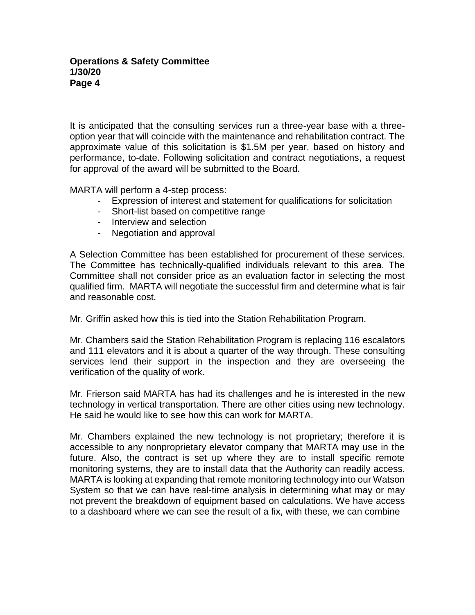It is anticipated that the consulting services run a three-year base with a threeoption year that will coincide with the maintenance and rehabilitation contract. The approximate value of this solicitation is \$1.5M per year, based on history and performance, to-date. Following solicitation and contract negotiations, a request for approval of the award will be submitted to the Board.

MARTA will perform a 4-step process:

- Expression of interest and statement for qualifications for solicitation
- Short-list based on competitive range
- Interview and selection
- Negotiation and approval

A Selection Committee has been established for procurement of these services. The Committee has technically-qualified individuals relevant to this area. The Committee shall not consider price as an evaluation factor in selecting the most qualified firm. MARTA will negotiate the successful firm and determine what is fair and reasonable cost.

Mr. Griffin asked how this is tied into the Station Rehabilitation Program.

Mr. Chambers said the Station Rehabilitation Program is replacing 116 escalators and 111 elevators and it is about a quarter of the way through. These consulting services lend their support in the inspection and they are overseeing the verification of the quality of work.

Mr. Frierson said MARTA has had its challenges and he is interested in the new technology in vertical transportation. There are other cities using new technology. He said he would like to see how this can work for MARTA.

Mr. Chambers explained the new technology is not proprietary; therefore it is accessible to any nonproprietary elevator company that MARTA may use in the future. Also, the contract is set up where they are to install specific remote monitoring systems, they are to install data that the Authority can readily access. MARTA is looking at expanding that remote monitoring technology into our Watson System so that we can have real-time analysis in determining what may or may not prevent the breakdown of equipment based on calculations. We have access to a dashboard where we can see the result of a fix, with these, we can combine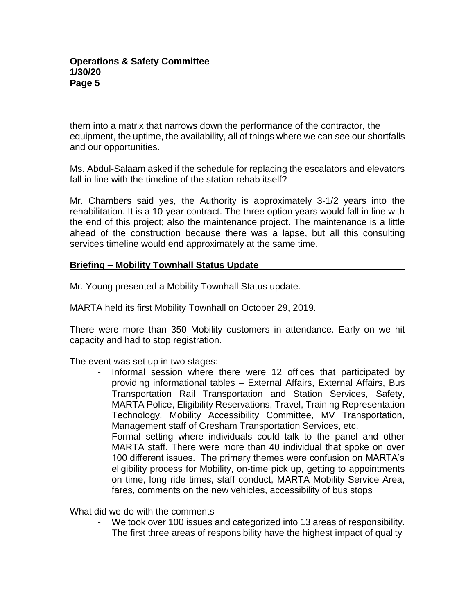them into a matrix that narrows down the performance of the contractor, the equipment, the uptime, the availability, all of things where we can see our shortfalls and our opportunities.

Ms. Abdul-Salaam asked if the schedule for replacing the escalators and elevators fall in line with the timeline of the station rehab itself?

Mr. Chambers said yes, the Authority is approximately 3-1/2 years into the rehabilitation. It is a 10-year contract. The three option years would fall in line with the end of this project; also the maintenance project. The maintenance is a little ahead of the construction because there was a lapse, but all this consulting services timeline would end approximately at the same time.

# **Briefing – Mobility Townhall Status Update**

Mr. Young presented a Mobility Townhall Status update.

MARTA held its first Mobility Townhall on October 29, 2019.

There were more than 350 Mobility customers in attendance. Early on we hit capacity and had to stop registration.

The event was set up in two stages:

- Informal session where there were 12 offices that participated by providing informational tables – External Affairs, External Affairs, Bus Transportation Rail Transportation and Station Services, Safety, MARTA Police, Eligibility Reservations, Travel, Training Representation Technology, Mobility Accessibility Committee, MV Transportation, Management staff of Gresham Transportation Services, etc.
- Formal setting where individuals could talk to the panel and other MARTA staff. There were more than 40 individual that spoke on over 100 different issues. The primary themes were confusion on MARTA's eligibility process for Mobility, on-time pick up, getting to appointments on time, long ride times, staff conduct, MARTA Mobility Service Area, fares, comments on the new vehicles, accessibility of bus stops

What did we do with the comments

We took over 100 issues and categorized into 13 areas of responsibility. The first three areas of responsibility have the highest impact of quality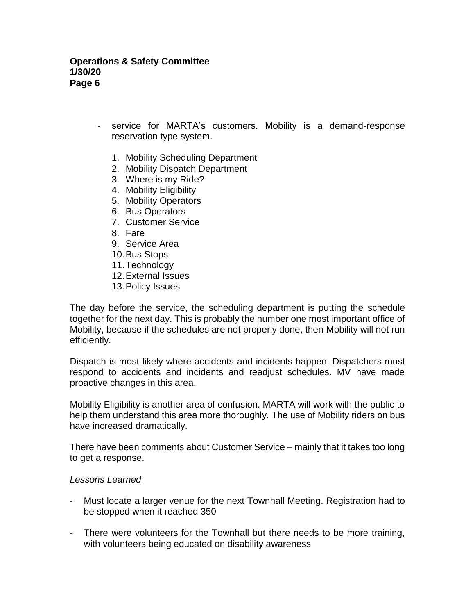- service for MARTA's customers. Mobility is a demand-response reservation type system.
	- 1. Mobility Scheduling Department
	- 2. Mobility Dispatch Department
	- 3. Where is my Ride?
	- 4. Mobility Eligibility
	- 5. Mobility Operators
	- 6. Bus Operators
	- 7. Customer Service
	- 8. Fare
	- 9. Service Area
	- 10.Bus Stops
	- 11.Technology
	- 12.External Issues
	- 13.Policy Issues

The day before the service, the scheduling department is putting the schedule together for the next day. This is probably the number one most important office of Mobility, because if the schedules are not properly done, then Mobility will not run efficiently.

Dispatch is most likely where accidents and incidents happen. Dispatchers must respond to accidents and incidents and readjust schedules. MV have made proactive changes in this area.

Mobility Eligibility is another area of confusion. MARTA will work with the public to help them understand this area more thoroughly. The use of Mobility riders on bus have increased dramatically.

There have been comments about Customer Service – mainly that it takes too long to get a response.

#### *Lessons Learned*

- Must locate a larger venue for the next Townhall Meeting. Registration had to be stopped when it reached 350
- There were volunteers for the Townhall but there needs to be more training, with volunteers being educated on disability awareness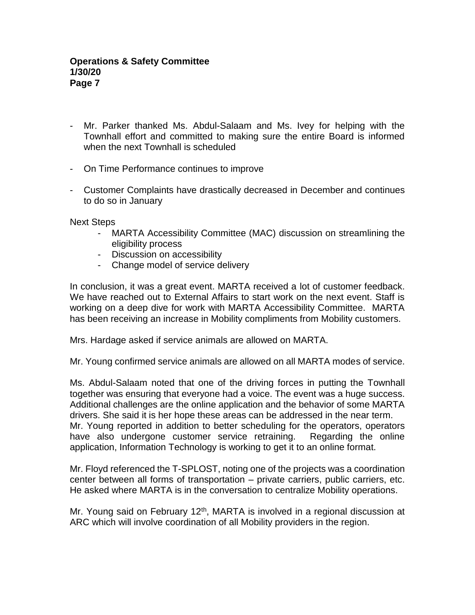- Mr. Parker thanked Ms. Abdul-Salaam and Ms. Ivey for helping with the Townhall effort and committed to making sure the entire Board is informed when the next Townhall is scheduled
- On Time Performance continues to improve
- Customer Complaints have drastically decreased in December and continues to do so in January

#### Next Steps

- MARTA Accessibility Committee (MAC) discussion on streamlining the eligibility process
- Discussion on accessibility
- Change model of service delivery

In conclusion, it was a great event. MARTA received a lot of customer feedback. We have reached out to External Affairs to start work on the next event. Staff is working on a deep dive for work with MARTA Accessibility Committee. MARTA has been receiving an increase in Mobility compliments from Mobility customers.

Mrs. Hardage asked if service animals are allowed on MARTA.

Mr. Young confirmed service animals are allowed on all MARTA modes of service.

Ms. Abdul-Salaam noted that one of the driving forces in putting the Townhall together was ensuring that everyone had a voice. The event was a huge success. Additional challenges are the online application and the behavior of some MARTA drivers. She said it is her hope these areas can be addressed in the near term. Mr. Young reported in addition to better scheduling for the operators, operators have also undergone customer service retraining. Regarding the online application, Information Technology is working to get it to an online format.

Mr. Floyd referenced the T-SPLOST, noting one of the projects was a coordination center between all forms of transportation – private carriers, public carriers, etc. He asked where MARTA is in the conversation to centralize Mobility operations.

Mr. Young said on February 12<sup>th</sup>, MARTA is involved in a regional discussion at ARC which will involve coordination of all Mobility providers in the region.